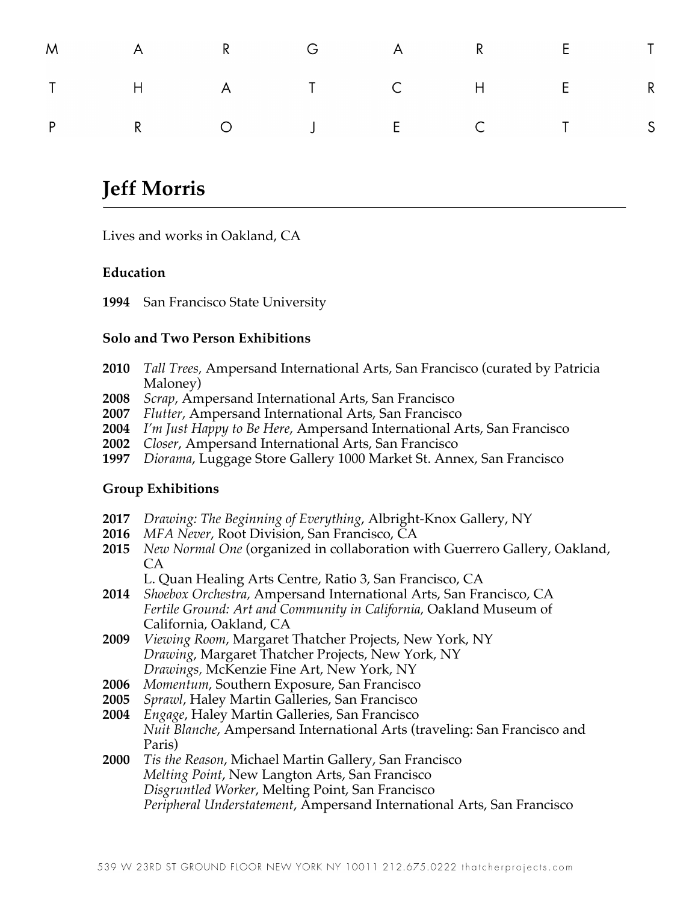|  |  | M A R G A R E T |  |
|--|--|-----------------|--|
|  |  | T H A T C H E R |  |
|  |  | P R O J E C T S |  |

# **Jeff Morris**

Lives and works in Oakland, CA

# **Education**

**1994** San Francisco State University

### **Solo and Two Person Exhibitions**

- **2010** *Tall Trees,* Ampersand International Arts, San Francisco (curated by Patricia Maloney)
- **2008** *Scrap*, Ampersand International Arts, San Francisco
- **2007** *Flutter*, Ampersand International Arts, San Francisco
- **2004** *I'm Just Happy to Be Here*, Ampersand International Arts, San Francisco
- **2002** *Closer*, Ampersand International Arts, San Francisco
- **1997** *Diorama*, Luggage Store Gallery 1000 Market St. Annex, San Francisco

# **Group Exhibitions**

- **2017** *Drawing: The Beginning of Everything*, Albright-Knox Gallery, NY
- **2016** *MFA Never*, Root Division, San Francisco, CA
- **2015** *New Normal One* (organized in collaboration with Guerrero Gallery, Oakland, CA

L. Quan Healing Arts Centre, Ratio 3, San Francisco, CA

- **2014** *Shoebox Orchestra,* Ampersand International Arts, San Francisco, CA *Fertile Ground: Art and Community in California,* Oakland Museum of California, Oakland, CA
- **2009** *Viewing Room*, Margaret Thatcher Projects, New York, NY *Drawing*, Margaret Thatcher Projects, New York, NY *Drawings,* McKenzie Fine Art, New York, NY
- **2006** *Momentum*, Southern Exposure, San Francisco
- **2005** *Sprawl*, Haley Martin Galleries, San Francisco
- **2004** *Engage*, Haley Martin Galleries, San Francisco *Nuit Blanche*, Ampersand International Arts (traveling: San Francisco and Paris)
- **2000** *Tis the Reason*, Michael Martin Gallery, San Francisco *Melting Point*, New Langton Arts, San Francisco *Disgruntled Worker*, Melting Point, San Francisco *Peripheral Understatement*, Ampersand International Arts, San Francisco